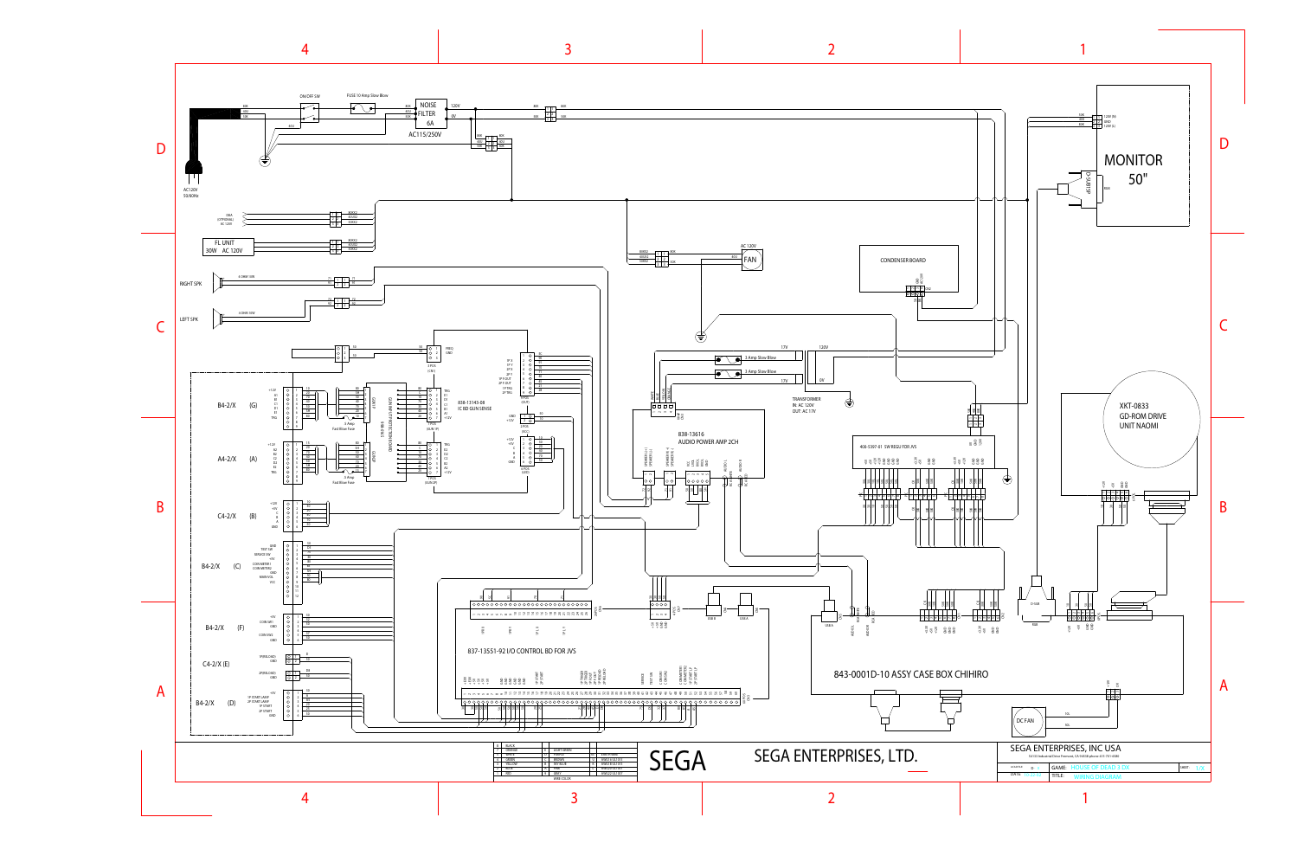